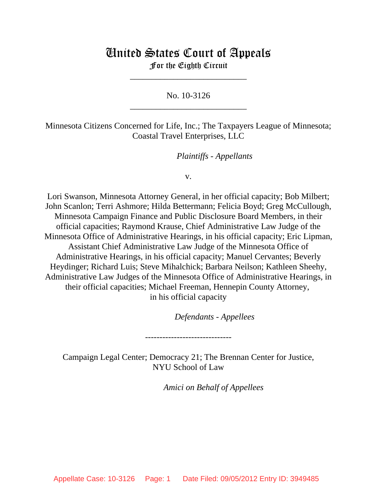# United States Court of Appeals For the Eighth Circuit

\_\_\_\_\_\_\_\_\_\_\_\_\_\_\_\_\_\_\_\_\_\_\_\_\_\_\_

No. 10-3126 \_\_\_\_\_\_\_\_\_\_\_\_\_\_\_\_\_\_\_\_\_\_\_\_\_\_\_

Minnesota Citizens Concerned for Life, Inc.; The Taxpayers League of Minnesota; Coastal Travel Enterprises, LLC

*Plaintiffs - Appellants* 

v.

Lori Swanson, Minnesota Attorney General, in her official capacity; Bob Milbert; John Scanlon; Terri Ashmore; Hilda Bettermann; Felicia Boyd; Greg McCullough, Minnesota Campaign Finance and Public Disclosure Board Members, in their official capacities; Raymond Krause, Chief Administrative Law Judge of the Minnesota Office of Administrative Hearings, in his official capacity; Eric Lipman, Assistant Chief Administrative Law Judge of the Minnesota Office of Administrative Hearings, in his official capacity; Manuel Cervantes; Beverly Heydinger; Richard Luis; Steve Mihalchick; Barbara Neilson; Kathleen Sheehy, Administrative Law Judges of the Minnesota Office of Administrative Hearings, in their official capacities; Michael Freeman, Hennepin County Attorney, in his official capacity

lllllllllllllllllllll *Defendants - Appellees*

Campaign Legal Center; Democracy 21; The Brennan Center for Justice, NYU School of Law

------------------------------

Amici on Behalf of Appellees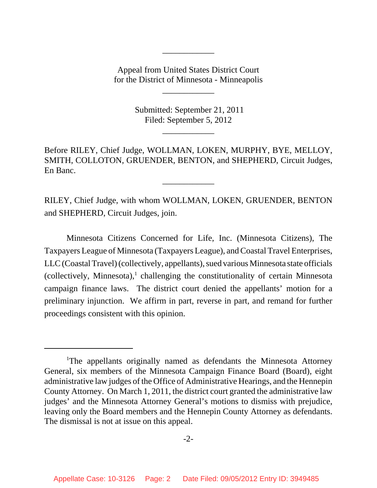Appeal from United States District Court for the District of Minnesota - Minneapolis

\_\_\_\_\_\_\_\_\_\_\_\_

\_\_\_\_\_\_\_\_\_\_\_\_

 Submitted: September 21, 2011 Filed: September 5, 2012

\_\_\_\_\_\_\_\_\_\_\_\_

Before RILEY, Chief Judge, WOLLMAN, LOKEN, MURPHY, BYE, MELLOY, SMITH, COLLOTON, GRUENDER, BENTON, and SHEPHERD, Circuit Judges, En Banc.

\_\_\_\_\_\_\_\_\_\_\_\_

RILEY, Chief Judge, with whom WOLLMAN, LOKEN, GRUENDER, BENTON and SHEPHERD, Circuit Judges, join.

Minnesota Citizens Concerned for Life, Inc. (Minnesota Citizens), The Taxpayers League of Minnesota (Taxpayers League), and Coastal Travel Enterprises, LLC (Coastal Travel) (collectively, appellants), sued various Minnesota state officials  $(collectively, Minnesota),<sup>1</sup>$  challenging the constitutionality of certain Minnesota campaign finance laws. The district court denied the appellants' motion for a preliminary injunction. We affirm in part, reverse in part, and remand for further proceedings consistent with this opinion.

<sup>&</sup>lt;sup>1</sup>The appellants originally named as defendants the Minnesota Attorney General, six members of the Minnesota Campaign Finance Board (Board), eight administrative law judges of the Office of Administrative Hearings, and the Hennepin County Attorney. On March 1, 2011, the district court granted the administrative law judges' and the Minnesota Attorney General's motions to dismiss with prejudice, leaving only the Board members and the Hennepin County Attorney as defendants. The dismissal is not at issue on this appeal.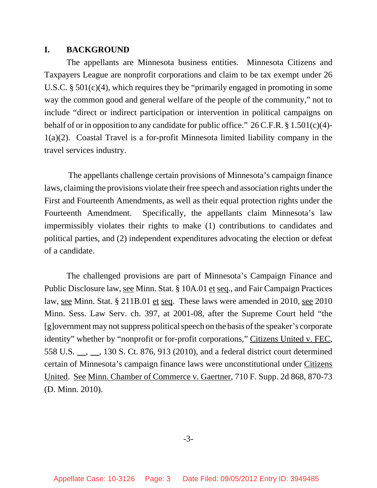### **I. BACKGROUND**

The appellants are Minnesota business entities. Minnesota Citizens and Taxpayers League are nonprofit corporations and claim to be tax exempt under 26 U.S.C. § 501(c)(4), which requires they be "primarily engaged in promoting in some way the common good and general welfare of the people of the community," not to include "direct or indirect participation or intervention in political campaigns on behalf of or in opposition to any candidate for public office."  $26$  C.F.R. § 1.501(c)(4)-1(a)(2). Coastal Travel is a for-profit Minnesota limited liability company in the travel services industry.

 The appellants challenge certain provisions of Minnesota's campaign finance laws, claiming the provisions violate their free speech and association rights under the First and Fourteenth Amendments, as well as their equal protection rights under the Fourteenth Amendment. Specifically, the appellants claim Minnesota's law impermissibly violates their rights to make (1) contributions to candidates and political parties, and (2) independent expenditures advocating the election or defeat of a candidate.

The challenged provisions are part of Minnesota's Campaign Finance and Public Disclosure law, see Minn. Stat. § 10A.01 et seq., and Fair Campaign Practices law, <u>see</u> Minn. Stat. § 211B.01 et seq. These laws were amended in 2010, see 2010 Minn. Sess. Law Serv. ch. 397, at 2001-08, after the Supreme Court held "the [g]overnment may not suppress political speech on the basis of the speaker's corporate identity" whether by "nonprofit or for-profit corporations," Citizens United v. FEC, 558 U.S. <sub>, , ,</sub> 130 S. Ct. 876, 913 (2010), and a federal district court determined certain of Minnesota's campaign finance laws were unconstitutional under Citizens United. See Minn. Chamber of Commerce v. Gaertner, 710 F. Supp. 2d 868, 870-73 (D. Minn. 2010).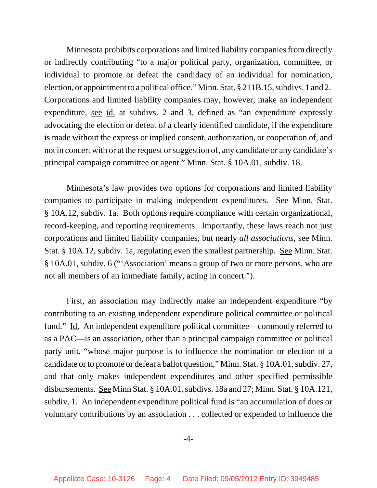Minnesota prohibits corporations and limited liability companies from directly or indirectly contributing "to a major political party, organization, committee, or individual to promote or defeat the candidacy of an individual for nomination, election, or appointment to a political office." Minn. Stat. § 211B.15, subdivs. 1 and 2. Corporations and limited liability companies may, however, make an independent expenditure, see id. at subdivs. 2 and 3, defined as "an expenditure expressly advocating the election or defeat of a clearly identified candidate, if the expenditure is made without the express or implied consent, authorization, or cooperation of, and not in concert with or at the request or suggestion of, any candidate or any candidate's principal campaign committee or agent." Minn. Stat. § 10A.01, subdiv. 18.

Minnesota's law provides two options for corporations and limited liability companies to participate in making independent expenditures. See Minn. Stat. § 10A.12, subdiv. 1a. Both options require compliance with certain organizational, record-keeping, and reporting requirements. Importantly, these laws reach not just corporations and limited liability companies, but nearly *all associations*, see Minn. Stat. § 10A.12, subdiv. 1a, regulating even the smallest partnership. See Minn. Stat. § 10A.01, subdiv. 6 ("'Association' means a group of two or more persons, who are not all members of an immediate family, acting in concert.").

First, an association may indirectly make an independent expenditure "by contributing to an existing independent expenditure political committee or political fund." Id. An independent expenditure political committee—commonly referred to as a PAC—is an association, other than a principal campaign committee or political party unit, "whose major purpose is to influence the nomination or election of a candidate or to promote or defeat a ballot question," Minn. Stat. § 10A.01, subdiv. 27, and that only makes independent expenditures and other specified permissible disbursements. See Minn Stat. § 10A.01, subdivs. 18a and 27; Minn. Stat. § 10A.121, subdiv. 1. An independent expenditure political fund is "an accumulation of dues or voluntary contributions by an association . . . collected or expended to influence the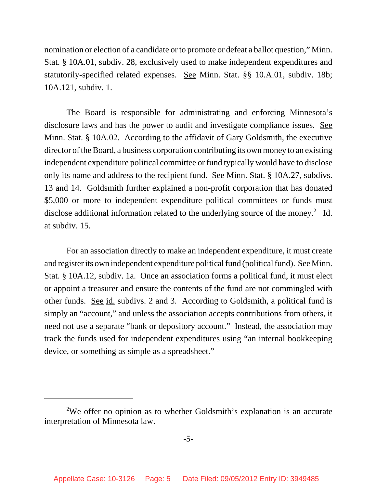nomination or election of a candidate or to promote or defeat a ballot question," Minn. Stat. § 10A.01, subdiv. 28, exclusively used to make independent expenditures and statutorily-specified related expenses. See Minn. Stat. §§ 10.A.01, subdiv. 18b; 10A.121, subdiv. 1.

The Board is responsible for administrating and enforcing Minnesota's disclosure laws and has the power to audit and investigate compliance issues. See Minn. Stat. § 10A.02. According to the affidavit of Gary Goldsmith, the executive director of the Board, a business corporation contributing its own money to an existing independent expenditure political committee or fund typically would have to disclose only its name and address to the recipient fund. See Minn. Stat. § 10A.27, subdivs. 13 and 14. Goldsmith further explained a non-profit corporation that has donated \$5,000 or more to independent expenditure political committees or funds must disclose additional information related to the underlying source of the money.<sup>2</sup> Id. at subdiv. 15.

For an association directly to make an independent expenditure, it must create and register its own independent expenditure political fund (political fund). See Minn. Stat. § 10A.12, subdiv. 1a. Once an association forms a political fund, it must elect or appoint a treasurer and ensure the contents of the fund are not commingled with other funds. See id. subdivs. 2 and 3. According to Goldsmith, a political fund is simply an "account," and unless the association accepts contributions from others, it need not use a separate "bank or depository account." Instead, the association may track the funds used for independent expenditures using "an internal bookkeeping device, or something as simple as a spreadsheet."

<sup>&</sup>lt;sup>2</sup>We offer no opinion as to whether Goldsmith's explanation is an accurate interpretation of Minnesota law.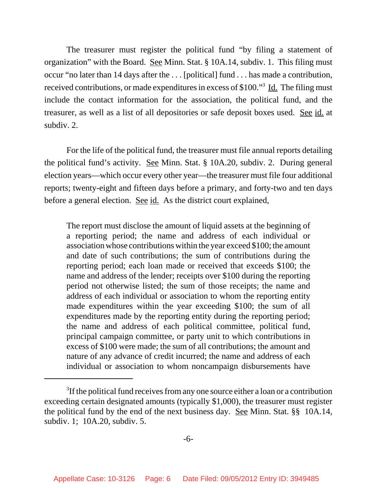The treasurer must register the political fund "by filing a statement of organization" with the Board. See Minn. Stat. § 10A.14, subdiv. 1. This filing must occur "no later than 14 days after the . . . [political] fund . . . has made a contribution, received contributions, or made expenditures in excess of \$100."<sup>3</sup> Id. The filing must include the contact information for the association, the political fund, and the treasurer, as well as a list of all depositories or safe deposit boxes used. See id. at subdiv. 2.

For the life of the political fund, the treasurer must file annual reports detailing the political fund's activity. See Minn. Stat. § 10A.20, subdiv. 2. During general election years—which occur every other year—the treasurer must file four additional reports; twenty-eight and fifteen days before a primary, and forty-two and ten days before a general election. See id. As the district court explained,

The report must disclose the amount of liquid assets at the beginning of a reporting period; the name and address of each individual or association whose contributions within the year exceed \$100; the amount and date of such contributions; the sum of contributions during the reporting period; each loan made or received that exceeds \$100; the name and address of the lender; receipts over \$100 during the reporting period not otherwise listed; the sum of those receipts; the name and address of each individual or association to whom the reporting entity made expenditures within the year exceeding \$100; the sum of all expenditures made by the reporting entity during the reporting period; the name and address of each political committee, political fund, principal campaign committee, or party unit to which contributions in excess of \$100 were made; the sum of all contributions; the amount and nature of any advance of credit incurred; the name and address of each individual or association to whom noncampaign disbursements have

<sup>&</sup>lt;sup>3</sup>If the political fund receives from any one source either a loan or a contribution exceeding certain designated amounts (typically \$1,000), the treasurer must register the political fund by the end of the next business day. See Minn. Stat. §§ 10A.14, subdiv. 1; 10A.20, subdiv. 5.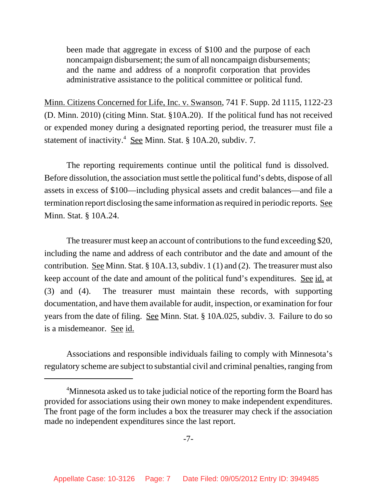been made that aggregate in excess of \$100 and the purpose of each noncampaign disbursement; the sum of all noncampaign disbursements; and the name and address of a nonprofit corporation that provides administrative assistance to the political committee or political fund.

Minn. Citizens Concerned for Life, Inc. v. Swanson, 741 F. Supp. 2d 1115, 1122-23 (D. Minn. 2010) (citing Minn. Stat. §10A.20). If the political fund has not received or expended money during a designated reporting period, the treasurer must file a statement of inactivity.<sup>4</sup> See Minn. Stat. § 10A.20, subdiv. 7.

The reporting requirements continue until the political fund is dissolved. Before dissolution, the association must settle the political fund's debts, dispose of all assets in excess of \$100—including physical assets and credit balances—and file a termination report disclosing the same information as required in periodic reports. See Minn. Stat. § 10A.24.

The treasurer must keep an account of contributions to the fund exceeding \$20, including the name and address of each contributor and the date and amount of the contribution. See Minn. Stat. § 10A.13, subdiv. 1 (1) and (2). The treasurer must also keep account of the date and amount of the political fund's expenditures. See id. at (3) and (4). The treasurer must maintain these records, with supporting documentation, and have them available for audit, inspection, or examination for four years from the date of filing. See Minn. Stat. § 10A.025, subdiv. 3. Failure to do so is a misdemeanor. See id.

Associations and responsible individuals failing to comply with Minnesota's regulatory scheme are subject to substantial civil and criminal penalties, ranging from

<sup>&</sup>lt;sup>4</sup>Minnesota asked us to take judicial notice of the reporting form the Board has provided for associations using their own money to make independent expenditures. The front page of the form includes a box the treasurer may check if the association made no independent expenditures since the last report.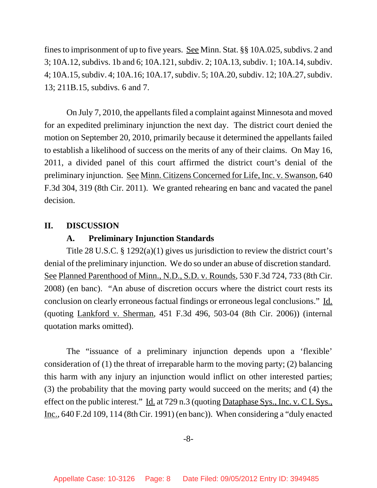fines to imprisonment of up to five years. See Minn. Stat. §§ 10A.025, subdivs. 2 and 3; 10A.12, subdivs. 1b and 6; 10A.121, subdiv. 2; 10A.13, subdiv. 1; 10A.14, subdiv. 4; 10A.15, subdiv. 4; 10A.16; 10A.17, subdiv. 5; 10A.20, subdiv. 12; 10A.27, subdiv. 13; 211B.15, subdivs. 6 and 7.

On July 7, 2010, the appellants filed a complaint against Minnesota and moved for an expedited preliminary injunction the next day. The district court denied the motion on September 20, 2010, primarily because it determined the appellants failed to establish a likelihood of success on the merits of any of their claims. On May 16, 2011, a divided panel of this court affirmed the district court's denial of the preliminary injunction. See Minn. Citizens Concerned for Life, Inc. v. Swanson, 640 F.3d 304, 319 (8th Cir. 2011). We granted rehearing en banc and vacated the panel decision.

## **II. DISCUSSION**

## **A. Preliminary Injunction Standards**

Title 28 U.S.C. § 1292(a)(1) gives us jurisdiction to review the district court's denial of the preliminary injunction. We do so under an abuse of discretion standard. See Planned Parenthood of Minn., N.D., S.D. v. Rounds, 530 F.3d 724, 733 (8th Cir. 2008) (en banc). "An abuse of discretion occurs where the district court rests its conclusion on clearly erroneous factual findings or erroneous legal conclusions." Id. (quoting Lankford v. Sherman, 451 F.3d 496, 503-04 (8th Cir. 2006)) (internal quotation marks omitted).

The "issuance of a preliminary injunction depends upon a 'flexible' consideration of (1) the threat of irreparable harm to the moving party; (2) balancing this harm with any injury an injunction would inflict on other interested parties; (3) the probability that the moving party would succeed on the merits; and (4) the effect on the public interest." Id. at 729 n.3 (quoting Dataphase Sys., Inc. v.  $CL$  Sys., Inc., 640 F.2d 109, 114 (8th Cir. 1991) (en banc)). When considering a "duly enacted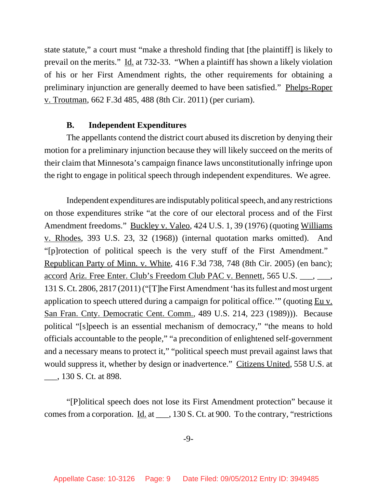state statute," a court must "make a threshold finding that [the plaintiff] is likely to prevail on the merits." Id. at 732-33. "When a plaintiff has shown a likely violation of his or her First Amendment rights, the other requirements for obtaining a preliminary injunction are generally deemed to have been satisfied." Phelps-Roper v. Troutman, 662 F.3d 485, 488 (8th Cir. 2011) (per curiam).

### **B. Independent Expenditures**

The appellants contend the district court abused its discretion by denying their motion for a preliminary injunction because they will likely succeed on the merits of their claim that Minnesota's campaign finance laws unconstitutionally infringe upon the right to engage in political speech through independent expenditures. We agree.

Independent expenditures are indisputably political speech, and any restrictions on those expenditures strike "at the core of our electoral process and of the First Amendment freedoms." Buckley v. Valeo, 424 U.S. 1, 39 (1976) (quoting Williams v. Rhodes, 393 U.S. 23, 32 (1968)) (internal quotation marks omitted). And "[p]rotection of political speech is the very stuff of the First Amendment." Republican Party of Minn. v. White, 416 F.3d 738, 748 (8th Cir. 2005) (en banc); accord Ariz. Free Enter. Club's Freedom Club PAC v. Bennett, 565 U.S. \_\_\_, \_\_\_, 131 S. Ct. 2806, 2817 (2011) ("[T]he First Amendment 'has its fullest and most urgent application to speech uttered during a campaign for political office." (quoting  $Eu v$ .</u> San Fran. Cnty. Democratic Cent. Comm., 489 U.S. 214, 223 (1989))). Because political "[s]peech is an essential mechanism of democracy," "the means to hold officials accountable to the people," "a precondition of enlightened self-government and a necessary means to protect it," "political speech must prevail against laws that would suppress it, whether by design or inadvertence." Citizens United, 558 U.S. at \_\_\_, 130 S. Ct. at 898.

"[P]olitical speech does not lose its First Amendment protection" because it comes from a corporation. Id. at \_\_\_, 130 S. Ct. at 900. To the contrary, "restrictions

-9-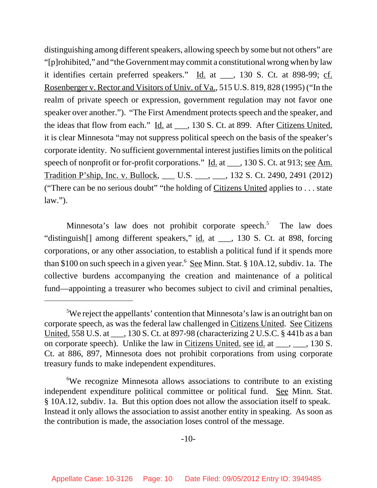distinguishing among different speakers, allowing speech by some but not others" are "[p]rohibited," and "the Government may commit a constitutional wrong when by law it identifies certain preferred speakers."  $\underline{Id}$  at  $\underline{\hspace{1cm}}$ , 130 S. Ct. at 898-99; cf. Rosenberger v. Rector and Visitors of Univ. of Va., 515 U.S. 819, 828 (1995) ("In the realm of private speech or expression, government regulation may not favor one speaker over another."). "The First Amendment protects speech and the speaker, and the ideas that flow from each." Id. at \_\_\_, 130 S. Ct. at 899. After Citizens United, it is clear Minnesota "may not suppress political speech on the basis of the speaker's corporate identity. No sufficient governmental interest justifies limits on the political speech of nonprofit or for-profit corporations." <u>Id.</u> at \_\_\_, 130 S. Ct. at 913; <u>see Am.</u> Tradition P'ship, Inc. v. Bullock, \_\_\_ U.S. \_\_\_, \_\_\_, 132 S. Ct. 2490, 2491 (2012) ("There can be no serious doubt" "the holding of Citizens United applies to . . . state  $law.'$ ).

Minnesota's law does not prohibit corporate speech.<sup>5</sup> The law does "distinguish[] among different speakers," id. at \_\_\_, 130 S. Ct. at 898, forcing corporations, or any other association, to establish a political fund if it spends more than \$100 on such speech in a given year.<sup>6</sup> See Minn. Stat. § 10A.12, subdiv. 1a. The collective burdens accompanying the creation and maintenance of a political fund—appointing a treasurer who becomes subject to civil and criminal penalties,

<sup>&</sup>lt;sup>5</sup>We reject the appellants' contention that Minnesota's law is an outright ban on corporate speech, as was the federal law challenged in Citizens United. See Citizens United, 558 U.S. at \_\_\_, 130 S. Ct. at 897-98 (characterizing 2 U.S.C. § 441b as a ban on corporate speech). Unlike the law in Citizens United, see id. at \_\_\_, \_\_\_, 130 S. Ct. at 886, 897, Minnesota does not prohibit corporations from using corporate treasury funds to make independent expenditures.

<sup>&</sup>lt;sup>6</sup>We recognize Minnesota allows associations to contribute to an existing independent expenditure political committee or political fund. See Minn. Stat. § 10A.12, subdiv. 1a. But this option does not allow the association itself to speak. Instead it only allows the association to assist another entity in speaking. As soon as the contribution is made, the association loses control of the message.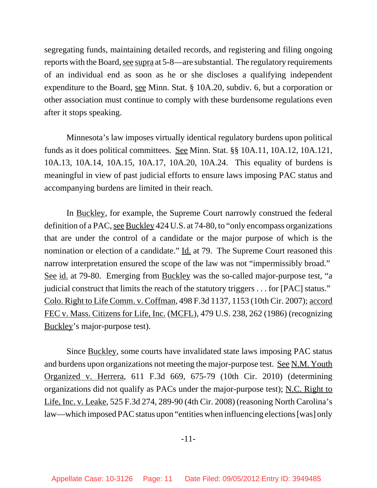segregating funds, maintaining detailed records, and registering and filing ongoing reports with the Board, see supra at 5-8—are substantial. The regulatory requirements of an individual end as soon as he or she discloses a qualifying independent expenditure to the Board, see Minn. Stat. § 10A.20, subdiv. 6, but a corporation or other association must continue to comply with these burdensome regulations even after it stops speaking.

Minnesota's law imposes virtually identical regulatory burdens upon political funds as it does political committees. See Minn. Stat. §§ 10A.11, 10A.12, 10A.121, 10A.13, 10A.14, 10A.15, 10A.17, 10A.20, 10A.24. This equality of burdens is meaningful in view of past judicial efforts to ensure laws imposing PAC status and accompanying burdens are limited in their reach.

In Buckley, for example, the Supreme Court narrowly construed the federal definition of a PAC, see Buckley 424 U.S. at 74-80, to "only encompass organizations that are under the control of a candidate or the major purpose of which is the nomination or election of a candidate." Id. at 79. The Supreme Court reasoned this narrow interpretation ensured the scope of the law was not "impermissibly broad." See id. at 79-80. Emerging from Buckley was the so-called major-purpose test, "a judicial construct that limits the reach of the statutory triggers . . . for [PAC] status." Colo. Right to Life Comm. v. Coffman, 498 F.3d 1137, 1153 (10th Cir. 2007); accord FEC v. Mass. Citizens for Life, Inc. (MCFL), 479 U.S. 238, 262 (1986) (recognizing Buckley's major-purpose test).

Since Buckley, some courts have invalidated state laws imposing PAC status and burdens upon organizations not meeting the major-purpose test. See N.M. Youth Organized v. Herrera, 611 F.3d 669, 675-79 (10th Cir. 2010) (determining organizations did not qualify as PACs under the major-purpose test); N.C. Right to Life, Inc. v. Leake, 525 F.3d 274, 289-90 (4th Cir. 2008) (reasoning North Carolina's law—which imposed PAC status upon "entities when influencing elections [was] only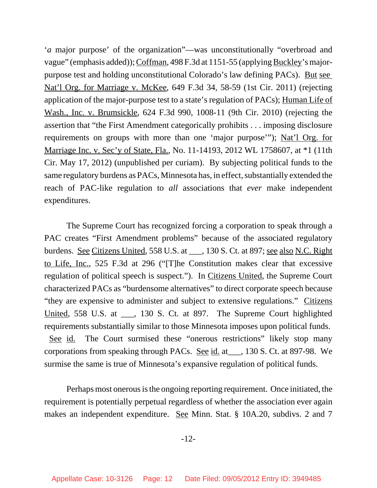'*a* major purpose' of the organization"—was unconstitutionally "overbroad and vague" (emphasis added)); Coffman, 498 F.3d at 1151-55 (applying Buckley's majorpurpose test and holding unconstitutional Colorado's law defining PACs). But see Nat'l Org. for Marriage v. McKee, 649 F.3d 34, 58-59 (1st Cir. 2011) (rejecting application of the major-purpose test to a state's regulation of PACs); Human Life of Wash., Inc. v. Brumsickle, 624 F.3d 990, 1008-11 (9th Cir. 2010) (rejecting the assertion that "the First Amendment categorically prohibits . . . imposing disclosure requirements on groups with more than one 'major purpose'"); Nat'l Org. for Marriage Inc. v. Sec'y of State, Fla., No. 11-14193, 2012 WL 1758607, at \*1 (11th Cir. May 17, 2012) (unpublished per curiam). By subjecting political funds to the same regulatory burdens as PACs, Minnesota has, in effect, substantially extended the reach of PAC-like regulation to *all* associations that *ever* make independent expenditures.

The Supreme Court has recognized forcing a corporation to speak through a PAC creates "First Amendment problems" because of the associated regulatory burdens. See Citizens United, 558 U.S. at \_\_\_, 130 S. Ct. at 897; see also N.C. Right to Life, Inc., 525 F.3d at 296 ("[T]he Constitution makes clear that excessive regulation of political speech is suspect."). In Citizens United, the Supreme Court characterized PACs as "burdensome alternatives" to direct corporate speech because "they are expensive to administer and subject to extensive regulations." Citizens United, 558 U.S. at \_\_\_, 130 S. Ct. at 897. The Supreme Court highlighted requirements substantially similar to those Minnesota imposes upon political funds. See id. The Court surmised these "onerous restrictions" likely stop many corporations from speaking through PACs. See id. at\_\_\_, 130 S. Ct. at 897-98. We surmise the same is true of Minnesota's expansive regulation of political funds.

Perhaps most onerous is the ongoing reporting requirement. Once initiated, the requirement is potentially perpetual regardless of whether the association ever again makes an independent expenditure. See Minn. Stat. § 10A.20, subdivs. 2 and 7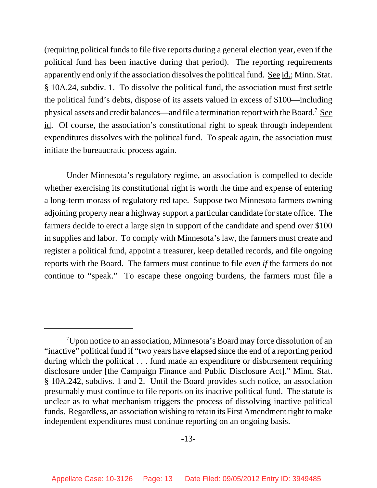(requiring political funds to file five reports during a general election year, even if the political fund has been inactive during that period). The reporting requirements apparently end only if the association dissolves the political fund. See id.; Minn. Stat. § 10A.24, subdiv. 1. To dissolve the political fund, the association must first settle the political fund's debts, dispose of its assets valued in excess of \$100—including physical assets and credit balances—and file a termination report with the Board.<sup>7</sup> See id. Of course, the association's constitutional right to speak through independent expenditures dissolves with the political fund. To speak again, the association must initiate the bureaucratic process again.

Under Minnesota's regulatory regime, an association is compelled to decide whether exercising its constitutional right is worth the time and expense of entering a long-term morass of regulatory red tape. Suppose two Minnesota farmers owning adjoining property near a highway support a particular candidate for state office. The farmers decide to erect a large sign in support of the candidate and spend over \$100 in supplies and labor. To comply with Minnesota's law, the farmers must create and register a political fund, appoint a treasurer, keep detailed records, and file ongoing reports with the Board. The farmers must continue to file *even if* the farmers do not continue to "speak." To escape these ongoing burdens, the farmers must file a

<sup>&</sup>lt;sup>7</sup>Upon notice to an association, Minnesota's Board may force dissolution of an "inactive" political fund if "two years have elapsed since the end of a reporting period during which the political . . . fund made an expenditure or disbursement requiring disclosure under [the Campaign Finance and Public Disclosure Act]." Minn. Stat. § 10A.242, subdivs. 1 and 2. Until the Board provides such notice, an association presumably must continue to file reports on its inactive political fund. The statute is unclear as to what mechanism triggers the process of dissolving inactive political funds. Regardless, an association wishing to retain its First Amendment right to make independent expenditures must continue reporting on an ongoing basis.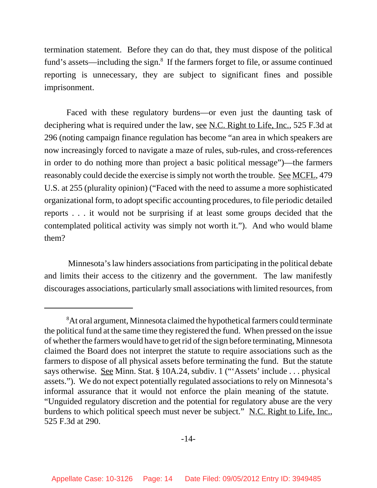termination statement. Before they can do that, they must dispose of the political fund's assets—including the sign.<sup>8</sup> If the farmers forget to file, or assume continued reporting is unnecessary, they are subject to significant fines and possible imprisonment.

Faced with these regulatory burdens—or even just the daunting task of deciphering what is required under the law, <u>see N.C. Right to Life, Inc.</u>, 525 F.3d at 296 (noting campaign finance regulation has become "an area in which speakers are now increasingly forced to navigate a maze of rules, sub-rules, and cross-references in order to do nothing more than project a basic political message")—the farmers reasonably could decide the exercise is simply not worth the trouble.See MCFL, 479 U.S. at 255 (plurality opinion) ("Faced with the need to assume a more sophisticated organizational form, to adopt specific accounting procedures, to file periodic detailed reports . . . it would not be surprising if at least some groups decided that the contemplated political activity was simply not worth it."). And who would blame them?

 Minnesota's law hinders associations from participating in the political debate and limits their access to the citizenry and the government. The law manifestly discourages associations, particularly small associations with limited resources, from

<sup>&</sup>lt;sup>8</sup>At oral argument, Minnesota claimed the hypothetical farmers could terminate the political fund at the same time they registered the fund. When pressed on the issue of whether the farmers would have to get rid of the sign before terminating, Minnesota claimed the Board does not interpret the statute to require associations such as the farmers to dispose of all physical assets before terminating the fund. But the statute says otherwise. See Minn. Stat. § 10A.24, subdiv. 1 ("'Assets' include . . . physical assets."). We do not expect potentially regulated associations to rely on Minnesota's informal assurance that it would not enforce the plain meaning of the statute. "Unguided regulatory discretion and the potential for regulatory abuse are the very burdens to which political speech must never be subject." N.C. Right to Life, Inc., 525 F.3d at 290.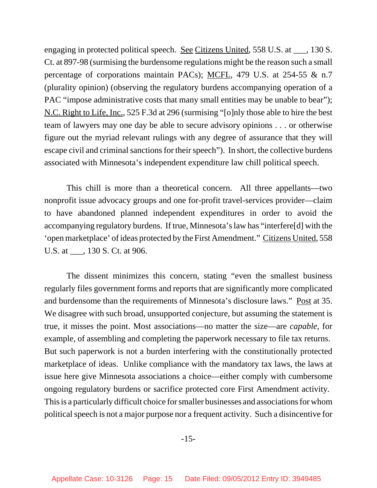engaging in protected political speech. <u>See Citizens United</u>, 558 U.S. at <sub>\_\_\_</sub>, 130 S. Ct. at 897-98 (surmising the burdensome regulations might be the reason such a small percentage of corporations maintain PACs); MCFL, 479 U.S. at 254-55 & n.7 (plurality opinion) (observing the regulatory burdens accompanying operation of a PAC "impose administrative costs that many small entities may be unable to bear"); N.C. Right to Life, Inc., 525 F.3d at 296 (surmising "[o]nly those able to hire the best team of lawyers may one day be able to secure advisory opinions . . . or otherwise figure out the myriad relevant rulings with any degree of assurance that they will escape civil and criminal sanctions for their speech"). In short, the collective burdens associated with Minnesota's independent expenditure law chill political speech.

This chill is more than a theoretical concern. All three appellants—two nonprofit issue advocacy groups and one for-profit travel-services provider—claim to have abandoned planned independent expenditures in order to avoid the accompanying regulatory burdens. If true, Minnesota's law has "interfere[d] with the 'open marketplace' of ideas protected by the First Amendment." Citizens United, 558 U.S. at \_\_\_, 130 S. Ct. at 906.

The dissent minimizes this concern, stating "even the smallest business regularly files government forms and reports that are significantly more complicated and burdensome than the requirements of Minnesota's disclosure laws." <u>Post</u> at 35. We disagree with such broad, unsupported conjecture, but assuming the statement is true, it misses the point. Most associations—no matter the size—are *capable*, for example, of assembling and completing the paperwork necessary to file tax returns. But such paperwork is not a burden interfering with the constitutionally protected marketplace of ideas. Unlike compliance with the mandatory tax laws, the laws at issue here give Minnesota associations a choice—either comply with cumbersome ongoing regulatory burdens or sacrifice protected core First Amendment activity. This is a particularly difficult choice for smaller businesses and associations for whom political speech is not a major purpose nor a frequent activity. Such a disincentive for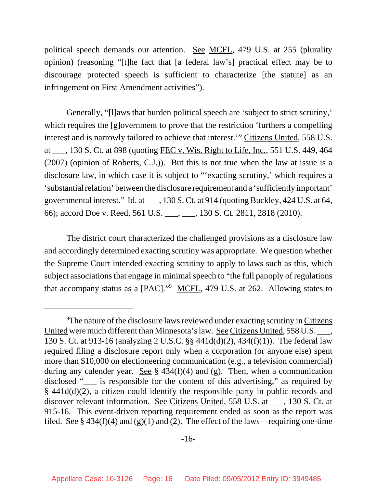political speech demands our attention. See MCFL, 479 U.S. at 255 (plurality opinion) (reasoning "[t]he fact that [a federal law's] practical effect may be to discourage protected speech is sufficient to characterize [the statute] as an infringement on First Amendment activities").

Generally, "[l]aws that burden political speech are 'subject to strict scrutiny,' which requires the [g]overnment to prove that the restriction 'furthers a compelling interest and is narrowly tailored to achieve that interest.'" Citizens United, 558 U.S. at \_\_\_, 130 S. Ct. at 898 (quoting FEC v. Wis. Right to Life, Inc., 551 U.S. 449, 464 (2007) (opinion of Roberts, C.J.)). But this is not true when the law at issue is a disclosure law, in which case it is subject to "'exacting scrutiny,' which requires a 'substantial relation' between the disclosure requirement and a 'sufficiently important' governmental interest." Id. at \_\_\_, 130 S. Ct. at 914 (quoting Buckley, 424 U.S. at 64, 66); accord Doe v. Reed, 561 U.S. \_\_\_, \_\_\_, 130 S. Ct. 2811, 2818 (2010).

The district court characterized the challenged provisions as a disclosure law and accordingly determined exacting scrutiny was appropriate. We question whether the Supreme Court intended exacting scrutiny to apply to laws such as this, which subject associations that engage in minimal speech to "the full panoply of regulations that accompany status as a [PAC]."<sup>9</sup> MCFL, 479 U.S. at 262. Allowing states to

<sup>&</sup>lt;sup>9</sup>The nature of the disclosure laws reviewed under exacting scrutiny in Citizens United were much different than Minnesota's law. See Citizens United, 558 U.S. \_\_\_, 130 S. Ct. at 913-16 (analyzing 2 U.S.C. §§ 441d(d)(2), 434(f)(1)). The federal law required filing a disclosure report only when a corporation (or anyone else) spent more than \$10,000 on electioneering communication (e.g., a television commercial) during any calender year. See  $\S$  434(f)(4) and (g). Then, when a communication disclosed " \_\_\_ is responsible for the content of this advertising," as required by § 441d(d)(2), a citizen could identify the responsible party in public records and discover relevant information. See Citizens United, 558 U.S. at \_\_\_, 130 S. Ct. at 915-16. This event-driven reporting requirement ended as soon as the report was filed. See § 434(f)(4) and (g)(1) and (2). The effect of the laws—requiring one-time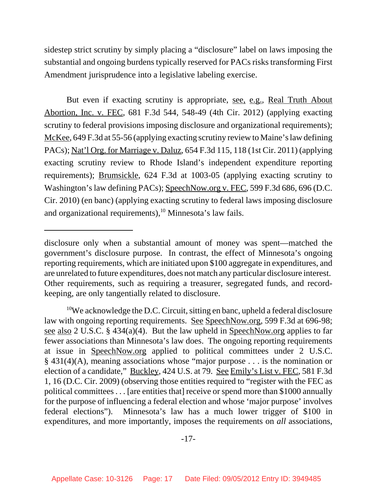sidestep strict scrutiny by simply placing a "disclosure" label on laws imposing the substantial and ongoing burdens typically reserved for PACs risks transforming First Amendment jurisprudence into a legislative labeling exercise.

But even if exacting scrutiny is appropriate, <u>see, e.g.</u>, Real Truth About Abortion, Inc. v. FEC, 681 F.3d 544, 548-49 (4th Cir. 2012) (applying exacting scrutiny to federal provisions imposing disclosure and organizational requirements); McKee, 649 F.3d at 55-56 (applying exacting scrutiny review to Maine's law defining PACs); Nat'l Org. for Marriage v. Daluz, 654 F.3d 115, 118 (1st Cir. 2011) (applying exacting scrutiny review to Rhode Island's independent expenditure reporting requirements); Brumsickle, 624 F.3d at 1003-05 (applying exacting scrutiny to Washington's law defining PACs); SpeechNow.org v. FEC, 599 F.3d 686, 696 (D.C. Cir. 2010) (en banc) (applying exacting scrutiny to federal laws imposing disclosure and organizational requirements), $10$  Minnesota's law fails.

disclosure only when a substantial amount of money was spent—matched the government's disclosure purpose. In contrast, the effect of Minnesota's ongoing reporting requirements, which are initiated upon \$100 aggregate in expenditures, and are unrelated to future expenditures, does not match any particular disclosure interest. Other requirements, such as requiring a treasurer, segregated funds, and recordkeeping, are only tangentially related to disclosure.

<sup>&</sup>lt;sup>10</sup>We acknowledge the D.C. Circuit, sitting en banc, upheld a federal disclosure law with ongoing reporting requirements. See SpeechNow.org, 599 F.3d at 696-98; see also 2 U.S.C. § 434(a)(4). But the law upheld in SpeechNow.org applies to far fewer associations than Minnesota's law does. The ongoing reporting requirements at issue in SpeechNow.org applied to political committees under 2 U.S.C. § 431(4)(A), meaning associations whose "major purpose . . . is the nomination or election of a candidate," Buckley, 424 U.S. at 79. See Emily's List v. FEC, 581 F.3d 1, 16 (D.C. Cir. 2009) (observing those entities required to "register with the FEC as political committees . . . [are entities that] receive or spend more than \$1000 annually for the purpose of influencing a federal election and whose 'major purpose' involves federal elections"). Minnesota's law has a much lower trigger of \$100 in expenditures, and more importantly, imposes the requirements on *all* associations,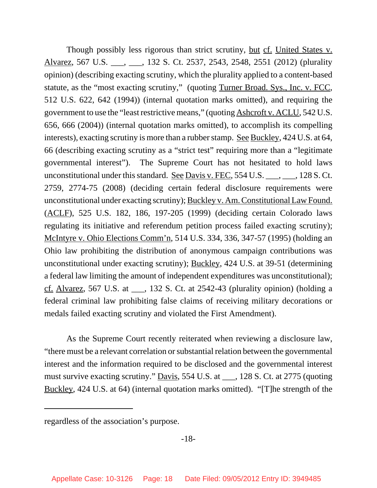Though possibly less rigorous than strict scrutiny, but cf. United States v. Alvarez, 567 U.S. \_\_\_, \_\_\_, 132 S. Ct. 2537, 2543, 2548, 2551 (2012) (plurality opinion) (describing exacting scrutiny, which the plurality applied to a content-based statute, as the "most exacting scrutiny," (quoting Turner Broad. Sys., Inc. v. FCC, 512 U.S. 622, 642 (1994)) (internal quotation marks omitted), and requiring the government to use the "least restrictive means," (quoting Ashcroft v. ACLU, 542 U.S. 656, 666 (2004)) (internal quotation marks omitted), to accomplish its compelling interests), exacting scrutiny is more than a rubber stamp. See Buckley, 424 U.S. at 64, 66 (describing exacting scrutiny as a "strict test" requiring more than a "legitimate governmental interest"). The Supreme Court has not hesitated to hold laws unconstitutional under this standard. See Davis v. FEC, 554 U.S.  $\_\_\_\_\_$ , 128 S. Ct. 2759, 2774-75 (2008) (deciding certain federal disclosure requirements were unconstitutional under exacting scrutiny); Buckley v. Am. Constitutional Law Found. (ACLF), 525 U.S. 182, 186, 197-205 (1999) (deciding certain Colorado laws regulating its initiative and referendum petition process failed exacting scrutiny); McIntyre v. Ohio Elections Comm'n, 514 U.S. 334, 336, 347-57 (1995) (holding an Ohio law prohibiting the distribution of anonymous campaign contributions was unconstitutional under exacting scrutiny); Buckley, 424 U.S. at 39-51 (determining a federal law limiting the amount of independent expenditures was unconstitutional); cf. Alvarez, 567 U.S. at  $\qquad$ , 132 S. Ct. at 2542-43 (plurality opinion) (holding a federal criminal law prohibiting false claims of receiving military decorations or medals failed exacting scrutiny and violated the First Amendment).

As the Supreme Court recently reiterated when reviewing a disclosure law, "there must be a relevant correlation or substantial relation between the governmental interest and the information required to be disclosed and the governmental interest must survive exacting scrutiny." Davis, 554 U.S. at \_\_\_, 128 S. Ct. at 2775 (quoting Buckley, 424 U.S. at 64) (internal quotation marks omitted). "[T]he strength of the

regardless of the association's purpose.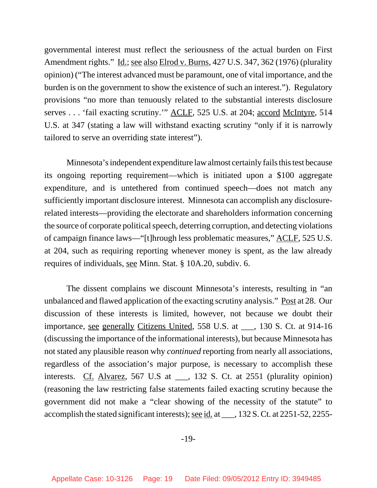governmental interest must reflect the seriousness of the actual burden on First Amendment rights." <u>Id.; see also Elrod v. Burns</u>, 427 U.S. 347, 362 (1976) (plurality opinion) ("The interest advanced must be paramount, one of vital importance, and the burden is on the government to show the existence of such an interest."). Regulatory provisions "no more than tenuously related to the substantial interests disclosure serves . . . 'fail exacting scrutiny.'" ACLF, 525 U.S. at 204; accord McIntyre, 514 U.S. at 347 (stating a law will withstand exacting scrutiny "only if it is narrowly tailored to serve an overriding state interest").

Minnesota's independent expenditure law almost certainly fails this test because its ongoing reporting requirement—which is initiated upon a \$100 aggregate expenditure, and is untethered from continued speech—does not match any sufficiently important disclosure interest. Minnesota can accomplish any disclosurerelated interests—providing the electorate and shareholders information concerning the source of corporate political speech, deterring corruption, and detecting violations of campaign finance laws—"[t]hrough less problematic measures," ACLF, 525 U.S. at 204, such as requiring reporting whenever money is spent, as the law already requires of individuals, see Minn. Stat. § 10A.20, subdiv. 6.

The dissent complains we discount Minnesota's interests, resulting in "an unbalanced and flawed application of the exacting scrutiny analysis." Post at 28. Our discussion of these interests is limited, however, not because we doubt their importance, see generally Citizens United, 558 U.S. at \_\_\_, 130 S. Ct. at 914-16 (discussing the importance of the informational interests), but because Minnesota has not stated any plausible reason why *continued* reporting from nearly all associations, regardless of the association's major purpose, is necessary to accomplish these interests. Cf. Alvarez, 567 U.S at \_\_\_, 132 S. Ct. at 2551 (plurality opinion) (reasoning the law restricting false statements failed exacting scrutiny because the government did not make a "clear showing of the necessity of the statute" to accomplish the stated significant interests); see id. at \_\_\_, 132 S. Ct. at 2251-52, 2255-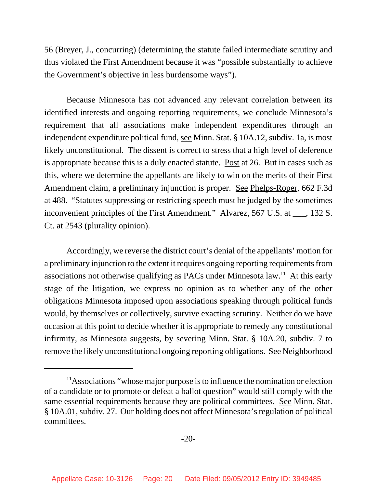56 (Breyer, J., concurring) (determining the statute failed intermediate scrutiny and thus violated the First Amendment because it was "possible substantially to achieve the Government's objective in less burdensome ways").

Because Minnesota has not advanced any relevant correlation between its identified interests and ongoing reporting requirements, we conclude Minnesota's requirement that all associations make independent expenditures through an independent expenditure political fund, see Minn. Stat. § 10A.12, subdiv. 1a, is most likely unconstitutional. The dissent is correct to stress that a high level of deference is appropriate because this is a duly enacted statute. Post at 26. But in cases such as this, where we determine the appellants are likely to win on the merits of their First Amendment claim, a preliminary injunction is proper. See Phelps-Roper, 662 F.3d at 488. "Statutes suppressing or restricting speech must be judged by the sometimes inconvenient principles of the First Amendment." Alvarez, 567 U.S. at \_\_\_, 132 S. Ct. at 2543 (plurality opinion).

Accordingly, we reverse the district court's denial of the appellants' motion for a preliminary injunction to the extent it requires ongoing reporting requirements from associations not otherwise qualifying as PACs under Minnesota  $law<sup>11</sup>$ . At this early stage of the litigation, we express no opinion as to whether any of the other obligations Minnesota imposed upon associations speaking through political funds would, by themselves or collectively, survive exacting scrutiny. Neither do we have occasion at this point to decide whether it is appropriate to remedy any constitutional infirmity, as Minnesota suggests, by severing Minn. Stat. § 10A.20, subdiv. 7 to remove the likely unconstitutional ongoing reporting obligations. See Neighborhood

 $11$ Associations "whose major purpose is to influence the nomination or election of a candidate or to promote or defeat a ballot question" would still comply with the same essential requirements because they are political committees. See Minn. Stat. § 10A.01, subdiv. 27. Our holding does not affect Minnesota's regulation of political committees.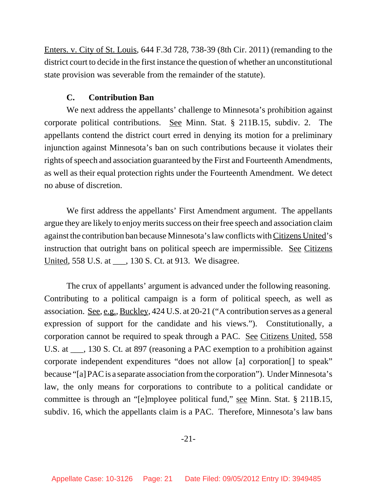Enters. v. City of St. Louis, 644 F.3d 728, 738-39 (8th Cir. 2011) (remanding to the district court to decide in the first instance the question of whether an unconstitutional state provision was severable from the remainder of the statute).

### **C. Contribution Ban**

We next address the appellants' challenge to Minnesota's prohibition against corporate political contributions. See Minn. Stat. § 211B.15, subdiv. 2. The appellants contend the district court erred in denying its motion for a preliminary injunction against Minnesota's ban on such contributions because it violates their rights of speech and association guaranteed by the First and Fourteenth Amendments, as well as their equal protection rights under the Fourteenth Amendment. We detect no abuse of discretion.

We first address the appellants' First Amendment argument. The appellants argue they are likely to enjoy merits success on their free speech and association claim against the contribution ban because Minnesota's law conflicts with Citizens United's instruction that outright bans on political speech are impermissible. See Citizens United, 558 U.S. at \_\_\_, 130 S. Ct. at 913. We disagree.

The crux of appellants' argument is advanced under the following reasoning. Contributing to a political campaign is a form of political speech, as well as association. See, e.g., Buckley, 424 U.S. at 20-21 ("A contribution serves as a general expression of support for the candidate and his views."). Constitutionally, a corporation cannot be required to speak through a PAC. See Citizens United, 558 U.S. at \_\_\_, 130 S. Ct. at 897 (reasoning a PAC exemption to a prohibition against corporate independent expenditures "does not allow [a] corporation[] to speak" because "[a] PAC is a separate association from the corporation"). Under Minnesota's law, the only means for corporations to contribute to a political candidate or committee is through an "[e]mployee political fund," see Minn. Stat. § 211B.15, subdiv. 16, which the appellants claim is a PAC. Therefore, Minnesota's law bans

-21-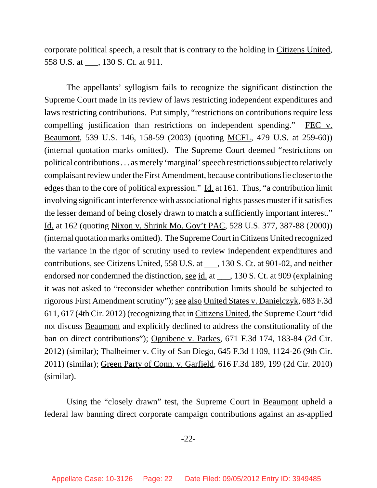corporate political speech, a result that is contrary to the holding in Citizens United, 558 U.S. at \_\_\_, 130 S. Ct. at 911.

The appellants' syllogism fails to recognize the significant distinction the Supreme Court made in its review of laws restricting independent expenditures and laws restricting contributions. Put simply, "restrictions on contributions require less compelling justification than restrictions on independent spending." FEC v. Beaumont, 539 U.S. 146, 158-59 (2003) (quoting MCFL, 479 U.S. at 259-60)) (internal quotation marks omitted). The Supreme Court deemed "restrictions on political contributions . . . as merely 'marginal' speech restrictions subject to relatively complaisant review under the First Amendment, because contributions lie closer to the edges than to the core of political expression." Id. at 161. Thus, "a contribution limit involving significant interference with associational rights passes muster if it satisfies the lesser demand of being closely drawn to match a sufficiently important interest." Id. at 162 (quoting Nixon v. Shrink Mo. Gov't PAC, 528 U.S. 377, 387-88 (2000)) (internal quotation marks omitted). The Supreme Court in Citizens United recognized the variance in the rigor of scrutiny used to review independent expenditures and contributions, see Citizens United, 558 U.S. at \_\_\_, 130 S. Ct. at 901-02, and neither endorsed nor condemned the distinction, <u>see id.</u> at \_\_\_, 130 S. Ct. at 909 (explaining it was not asked to "reconsider whether contribution limits should be subjected to rigorous First Amendment scrutiny"); see also United States v. Danielczyk, 683 F.3d 611, 617 (4th Cir. 2012) (recognizing that in Citizens United, the Supreme Court "did not discuss Beaumont and explicitly declined to address the constitutionality of the ban on direct contributions"); Ognibene v. Parkes, 671 F.3d 174, 183-84 (2d Cir. 2012) (similar); Thalheimer v. City of San Diego, 645 F.3d 1109, 1124-26 (9th Cir. 2011) (similar); Green Party of Conn. v. Garfield, 616 F.3d 189, 199 (2d Cir. 2010) (similar).

Using the "closely drawn" test, the Supreme Court in Beaumont upheld a federal law banning direct corporate campaign contributions against an as-applied

-22-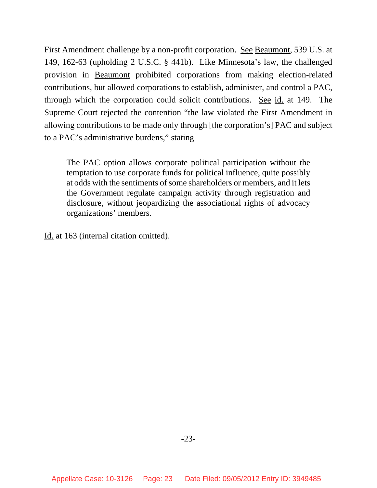First Amendment challenge by a non-profit corporation. See Beaumont, 539 U.S. at 149, 162-63 (upholding 2 U.S.C. § 441b). Like Minnesota's law, the challenged provision in Beaumont prohibited corporations from making election-related contributions, but allowed corporations to establish, administer, and control a PAC, through which the corporation could solicit contributions. See id. at 149. The Supreme Court rejected the contention "the law violated the First Amendment in allowing contributions to be made only through [the corporation's] PAC and subject to a PAC's administrative burdens," stating

The PAC option allows corporate political participation without the temptation to use corporate funds for political influence, quite possibly at odds with the sentiments of some shareholders or members, and it lets the Government regulate campaign activity through registration and disclosure, without jeopardizing the associational rights of advocacy organizations' members.

Id. at 163 (internal citation omitted).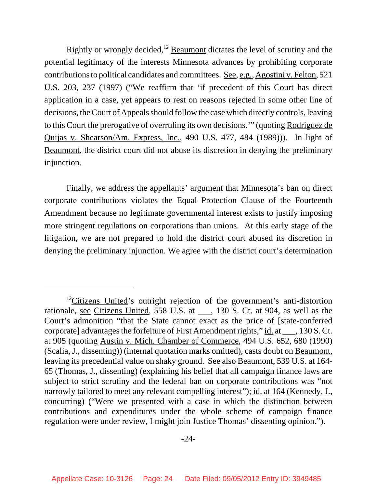Rightly or wrongly decided,<sup>12</sup> Beaumont dictates the level of scrutiny and the potential legitimacy of the interests Minnesota advances by prohibiting corporate contributions to political candidates and committees. See, e.g., Agostini v. Felton, 521 U.S. 203, 237 (1997) ("We reaffirm that 'if precedent of this Court has direct application in a case, yet appears to rest on reasons rejected in some other line of decisions, the Court of Appeals should follow the case which directly controls, leaving to this Court the prerogative of overruling its own decisions.'" (quoting Rodriguez de Quijas v. Shearson/Am. Express, Inc., 490 U.S. 477, 484 (1989))). In light of Beaumont, the district court did not abuse its discretion in denying the preliminary injunction.

Finally, we address the appellants' argument that Minnesota's ban on direct corporate contributions violates the Equal Protection Clause of the Fourteenth Amendment because no legitimate governmental interest exists to justify imposing more stringent regulations on corporations than unions. At this early stage of the litigation, we are not prepared to hold the district court abused its discretion in denying the preliminary injunction. We agree with the district court's determination

 $12$ Citizens United's outright rejection of the government's anti-distortion rationale, see Citizens United, 558 U.S. at \_\_\_, 130 S. Ct. at 904, as well as the Court's admonition "that the State cannot exact as the price of [state-conferred corporate] advantages the forfeiture of First Amendment rights," id. at \_\_\_, 130 S. Ct. at 905 (quoting Austin v. Mich. Chamber of Commerce, 494 U.S. 652, 680 (1990) (Scalia, J., dissenting)) (internal quotation marks omitted), casts doubt on Beaumont, leaving its precedential value on shaky ground. See also Beaumont, 539 U.S. at 164- 65 (Thomas, J., dissenting) (explaining his belief that all campaign finance laws are subject to strict scrutiny and the federal ban on corporate contributions was "not narrowly tailored to meet any relevant compelling interest"); id. at 164 (Kennedy, J., concurring) ("Were we presented with a case in which the distinction between contributions and expenditures under the whole scheme of campaign finance regulation were under review, I might join Justice Thomas' dissenting opinion.").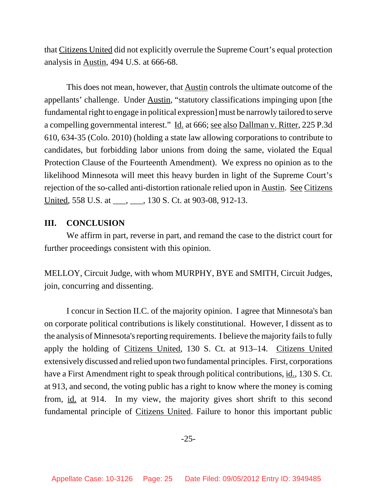that Citizens United did not explicitly overrule the Supreme Court's equal protection analysis in Austin, 494 U.S. at 666-68.

This does not mean, however, that **Austin** controls the ultimate outcome of the appellants' challenge. Under Austin, "statutory classifications impinging upon [the fundamental right to engage in political expression] must be narrowly tailored to serve a compelling governmental interest." Id. at 666; see also Dallman v. Ritter, 225 P.3d 610, 634-35 (Colo. 2010) (holding a state law allowing corporations to contribute to candidates, but forbidding labor unions from doing the same, violated the Equal Protection Clause of the Fourteenth Amendment). We express no opinion as to the likelihood Minnesota will meet this heavy burden in light of the Supreme Court's rejection of the so-called anti-distortion rationale relied upon in Austin. See Citizens United, 558 U.S. at \_\_\_, \_\_\_, 130 S. Ct. at 903-08, 912-13.

#### **III. CONCLUSION**

We affirm in part, reverse in part, and remand the case to the district court for further proceedings consistent with this opinion.

MELLOY, Circuit Judge, with whom MURPHY, BYE and SMITH, Circuit Judges, join, concurring and dissenting.

I concur in Section II.C. of the majority opinion. I agree that Minnesota's ban on corporate political contributions is likely constitutional. However, I dissent as to the analysis of Minnesota's reporting requirements. I believe the majority fails to fully apply the holding of Citizens United, 130 S. Ct. at 913–14. Citizens United extensively discussed and relied upon two fundamental principles. First, corporations have a First Amendment right to speak through political contributions, id., 130 S. Ct. at 913, and second, the voting public has a right to know where the money is coming from, id. at 914. In my view, the majority gives short shrift to this second fundamental principle of Citizens United. Failure to honor this important public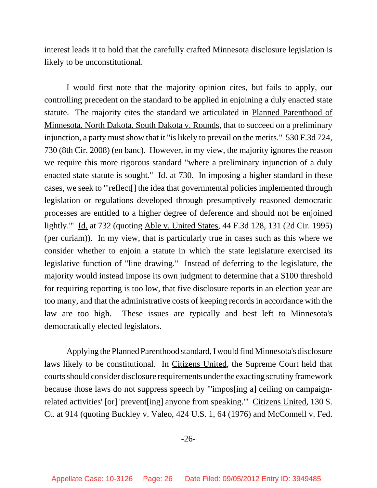interest leads it to hold that the carefully crafted Minnesota disclosure legislation is likely to be unconstitutional.

I would first note that the majority opinion cites, but fails to apply, our controlling precedent on the standard to be applied in enjoining a duly enacted state statute. The majority cites the standard we articulated in Planned Parenthood of Minnesota, North Dakota, South Dakota v. Rounds, that to succeed on a preliminary injunction, a party must show that it "is likely to prevail on the merits." 530 F.3d 724, 730 (8th Cir. 2008) (en banc). However, in my view, the majority ignores the reason we require this more rigorous standard "where a preliminary injunction of a duly enacted state statute is sought." Id. at 730. In imposing a higher standard in these cases, we seek to "'reflect[] the idea that governmental policies implemented through legislation or regulations developed through presumptively reasoned democratic processes are entitled to a higher degree of deference and should not be enjoined lightly.'" Id. at 732 (quoting Able v. United States, 44 F.3d 128, 131 (2d Cir. 1995) (per curiam)). In my view, that is particularly true in cases such as this where we consider whether to enjoin a statute in which the state legislature exercised its legislative function of "line drawing." Instead of deferring to the legislature, the majority would instead impose its own judgment to determine that a \$100 threshold for requiring reporting is too low, that five disclosure reports in an election year are too many, and that the administrative costs of keeping records in accordance with the law are too high. These issues are typically and best left to Minnesota's democratically elected legislators.

Applying the Planned Parenthood standard, I would find Minnesota's disclosure laws likely to be constitutional. In Citizens United, the Supreme Court held that courts should consider disclosure requirements under the exacting scrutiny framework because those laws do not suppress speech by "'impos[ing a] ceiling on campaignrelated activities' [or] 'prevent[ing] anyone from speaking.'" Citizens United, 130 S. Ct. at 914 (quoting Buckley v. Valeo, 424 U.S. 1, 64 (1976) and McConnell v. Fed.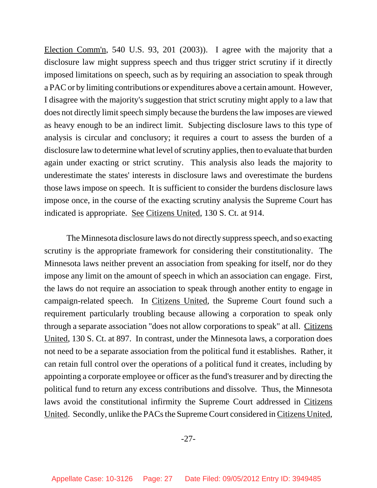Election Comm'n, 540 U.S. 93, 201 (2003)). I agree with the majority that a disclosure law might suppress speech and thus trigger strict scrutiny if it directly imposed limitations on speech, such as by requiring an association to speak through a PAC or by limiting contributions or expenditures above a certain amount. However, I disagree with the majority's suggestion that strict scrutiny might apply to a law that does not directly limit speech simply because the burdens the law imposes are viewed as heavy enough to be an indirect limit. Subjecting disclosure laws to this type of analysis is circular and conclusory; it requires a court to assess the burden of a disclosure law to determine what level of scrutiny applies, then to evaluate that burden again under exacting or strict scrutiny. This analysis also leads the majority to underestimate the states' interests in disclosure laws and overestimate the burdens those laws impose on speech. It is sufficient to consider the burdens disclosure laws impose once, in the course of the exacting scrutiny analysis the Supreme Court has indicated is appropriate. See Citizens United, 130 S. Ct. at 914.

The Minnesota disclosure laws do not directly suppress speech, and so exacting scrutiny is the appropriate framework for considering their constitutionality. The Minnesota laws neither prevent an association from speaking for itself, nor do they impose any limit on the amount of speech in which an association can engage. First, the laws do not require an association to speak through another entity to engage in campaign-related speech. In Citizens United, the Supreme Court found such a requirement particularly troubling because allowing a corporation to speak only through a separate association "does not allow corporations to speak" at all. Citizens United, 130 S. Ct. at 897. In contrast, under the Minnesota laws, a corporation does not need to be a separate association from the political fund it establishes. Rather, it can retain full control over the operations of a political fund it creates, including by appointing a corporate employee or officer as the fund's treasurer and by directing the political fund to return any excess contributions and dissolve. Thus, the Minnesota laws avoid the constitutional infirmity the Supreme Court addressed in Citizens United. Secondly, unlike the PACs the Supreme Court considered in Citizens United,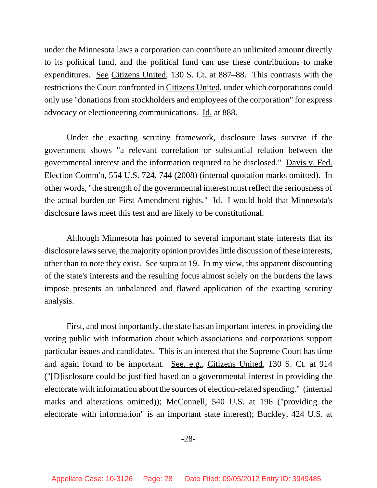under the Minnesota laws a corporation can contribute an unlimited amount directly to its political fund, and the political fund can use these contributions to make expenditures. See Citizens United, 130 S. Ct. at 887–88. This contrasts with the restrictions the Court confronted in Citizens United, under which corporations could only use "donations from stockholders and employees of the corporation" for express advocacy or electioneering communications. Id. at 888.

Under the exacting scrutiny framework, disclosure laws survive if the government shows "a relevant correlation or substantial relation between the governmental interest and the information required to be disclosed." Davis v. Fed. Election Comm'n, 554 U.S. 724, 744 (2008) (internal quotation marks omitted). In other words, "the strength of the governmental interest must reflect the seriousness of the actual burden on First Amendment rights." Id. I would hold that Minnesota's disclosure laws meet this test and are likely to be constitutional.

Although Minnesota has pointed to several important state interests that its disclosure laws serve, the majority opinion provides little discussion of these interests, other than to note they exist. See supra at 19. In my view, this apparent discounting of the state's interests and the resulting focus almost solely on the burdens the laws impose presents an unbalanced and flawed application of the exacting scrutiny analysis.

First, and most importantly, the state has an important interest in providing the voting public with information about which associations and corporations support particular issues and candidates. This is an interest that the Supreme Court has time and again found to be important. See, e.g., Citizens United, 130 S. Ct. at 914 ("[D]isclosure could be justified based on a governmental interest in providing the electorate with information about the sources of election-related spending." (internal marks and alterations omitted)); McConnell, 540 U.S. at 196 ("providing the electorate with information" is an important state interest); Buckley, 424 U.S. at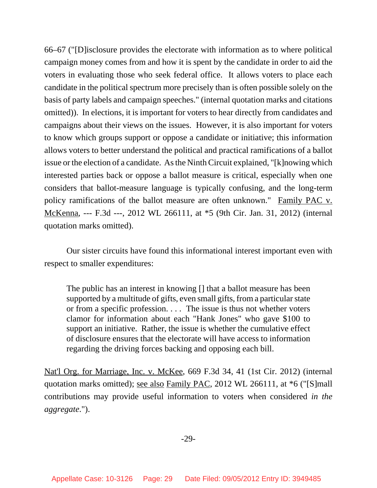66–67 ("[D]isclosure provides the electorate with information as to where political campaign money comes from and how it is spent by the candidate in order to aid the voters in evaluating those who seek federal office. It allows voters to place each candidate in the political spectrum more precisely than is often possible solely on the basis of party labels and campaign speeches." (internal quotation marks and citations omitted)). In elections, it is important for voters to hear directly from candidates and campaigns about their views on the issues. However, it is also important for voters to know which groups support or oppose a candidate or initiative; this information allows voters to better understand the political and practical ramifications of a ballot issue or the election of a candidate. As the Ninth Circuit explained, "[k]nowing which interested parties back or oppose a ballot measure is critical, especially when one considers that ballot-measure language is typically confusing, and the long-term policy ramifications of the ballot measure are often unknown." Family PAC v. McKenna, --- F.3d ---, 2012 WL 266111, at \*5 (9th Cir. Jan. 31, 2012) (internal quotation marks omitted).

Our sister circuits have found this informational interest important even with respect to smaller expenditures:

The public has an interest in knowing [] that a ballot measure has been supported by a multitude of gifts, even small gifts, from a particular state or from a specific profession. . . . The issue is thus not whether voters clamor for information about each "Hank Jones" who gave \$100 to support an initiative. Rather, the issue is whether the cumulative effect of disclosure ensures that the electorate will have access to information regarding the driving forces backing and opposing each bill.

Nat'l Org. for Marriage, Inc. v. McKee, 669 F.3d 34, 41 (1st Cir. 2012) (internal quotation marks omitted); see also Family PAC, 2012 WL 266111, at \*6 ("[S]mall contributions may provide useful information to voters when considered *in the aggregate*.").

-29-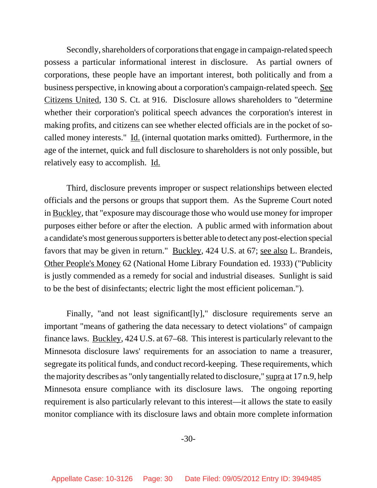Secondly, shareholders of corporations that engage in campaign-related speech possess a particular informational interest in disclosure. As partial owners of corporations, these people have an important interest, both politically and from a business perspective, in knowing about a corporation's campaign-related speech. See Citizens United, 130 S. Ct. at 916. Disclosure allows shareholders to "determine whether their corporation's political speech advances the corporation's interest in making profits, and citizens can see whether elected officials are in the pocket of socalled money interests." Id. (internal quotation marks omitted). Furthermore, in the age of the internet, quick and full disclosure to shareholders is not only possible, but relatively easy to accomplish. Id.

Third, disclosure prevents improper or suspect relationships between elected officials and the persons or groups that support them. As the Supreme Court noted in Buckley, that "exposure may discourage those who would use money for improper purposes either before or after the election. A public armed with information about a candidate's most generous supporters is better able to detect any post-election special favors that may be given in return." Buckley, 424 U.S. at 67; see also L. Brandeis, Other People's Money 62 (National Home Library Foundation ed. 1933) ("Publicity is justly commended as a remedy for social and industrial diseases. Sunlight is said to be the best of disinfectants; electric light the most efficient policeman.").

Finally, "and not least significant[ly]," disclosure requirements serve an important "means of gathering the data necessary to detect violations" of campaign finance laws. Buckley, 424 U.S. at 67–68. This interest is particularly relevant to the Minnesota disclosure laws' requirements for an association to name a treasurer, segregate its political funds, and conduct record-keeping. These requirements, which the majority describes as "only tangentially related to disclosure," supra at 17 n.9, help Minnesota ensure compliance with its disclosure laws. The ongoing reporting requirement is also particularly relevant to this interest—it allows the state to easily monitor compliance with its disclosure laws and obtain more complete information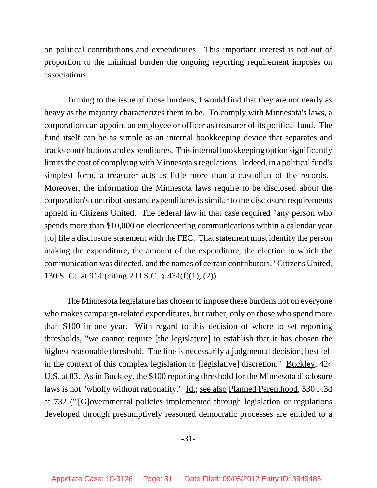on political contributions and expenditures. This important interest is not out of proportion to the minimal burden the ongoing reporting requirement imposes on associations.

Turning to the issue of those burdens, I would find that they are not nearly as heavy as the majority characterizes them to be. To comply with Minnesota's laws, a corporation can appoint an employee or officer as treasurer of its political fund. The fund itself can be as simple as an internal bookkeeping device that separates and tracks contributions and expenditures. This internal bookkeeping option significantly limits the cost of complying with Minnesota's regulations. Indeed, in a political fund's simplest form, a treasurer acts as little more than a custodian of the records. Moreover, the information the Minnesota laws require to be disclosed about the corporation's contributions and expenditures is similar to the disclosure requirements upheld in Citizens United. The federal law in that case required "any person who spends more than \$10,000 on electioneering communications within a calendar year [to] file a disclosure statement with the FEC. That statement must identify the person making the expenditure, the amount of the expenditure, the election to which the communication was directed, and the names of certain contributors." Citizens United, 130 S. Ct. at 914 (citing 2 U.S.C. § 434(f)(1), (2)).

The Minnesota legislature has chosen to impose these burdens not on everyone who makes campaign-related expenditures, but rather, only on those who spend more than \$100 in one year. With regard to this decision of where to set reporting thresholds, "we cannot require [the legislature] to establish that it has chosen the highest reasonable threshold. The line is necessarily a judgmental decision, best left in the context of this complex legislation to [legislative] discretion." Buckley, 424 U.S. at 83. As in Buckley, the \$100 reporting threshold for the Minnesota disclosure laws is not "wholly without rationality." <u>Id.; see also Planned Parenthood</u>, 530 F.3d at 732 ("'[G]overnmental policies implemented through legislation or regulations developed through presumptively reasoned democratic processes are entitled to a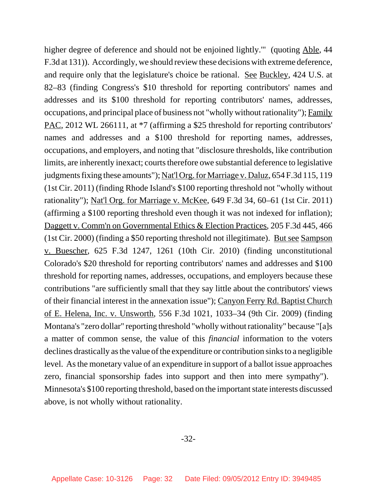higher degree of deference and should not be enjoined lightly.'" (quoting Able, 44 F.3d at 131)). Accordingly, we should review these decisions with extreme deference, and require only that the legislature's choice be rational. See Buckley, 424 U.S. at 82–83 (finding Congress's \$10 threshold for reporting contributors' names and addresses and its \$100 threshold for reporting contributors' names, addresses, occupations, and principal place of business not "wholly without rationality"); Family PAC, 2012 WL 266111, at \*7 (affirming a \$25 threshold for reporting contributors' names and addresses and a \$100 threshold for reporting names, addresses, occupations, and employers, and noting that "disclosure thresholds, like contribution limits, are inherently inexact; courts therefore owe substantial deference to legislative judgments fixing these amounts"); Nat'l Org. for Marriage v. Daluz, 654 F.3d 115, 119 (1st Cir. 2011) (finding Rhode Island's \$100 reporting threshold not "wholly without rationality"); Nat'l Org. for Marriage v. McKee, 649 F.3d 34, 60–61 (1st Cir. 2011) (affirming a \$100 reporting threshold even though it was not indexed for inflation); Daggett v. Comm'n on Governmental Ethics & Election Practices, 205 F.3d 445, 466 (1st Cir. 2000) (finding a \$50 reporting threshold not illegitimate). But see Sampson v. Buescher, 625 F.3d 1247, 1261 (10th Cir. 2010) (finding unconstitutional Colorado's \$20 threshold for reporting contributors' names and addresses and \$100 threshold for reporting names, addresses, occupations, and employers because these contributions "are sufficiently small that they say little about the contributors' views of their financial interest in the annexation issue"); Canyon Ferry Rd. Baptist Church of E. Helena, Inc. v. Unsworth, 556 F.3d 1021, 1033–34 (9th Cir. 2009) (finding Montana's "zero dollar" reporting threshold "wholly without rationality" because "[a]s a matter of common sense, the value of this *financial* information to the voters declines drastically as the value of the expenditure or contribution sinks to a negligible level. As the monetary value of an expenditure in support of a ballot issue approaches zero, financial sponsorship fades into support and then into mere sympathy"). Minnesota's \$100 reporting threshold, based on the important state interests discussed above, is not wholly without rationality.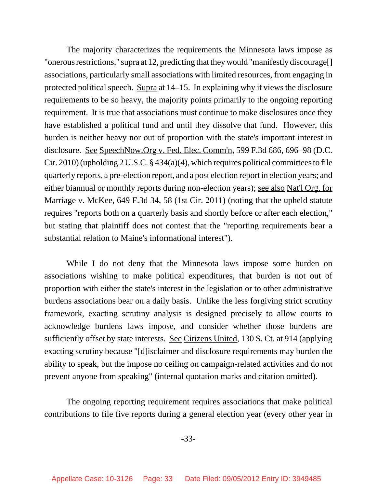The majority characterizes the requirements the Minnesota laws impose as "onerous restrictions," supra at 12, predicting that they would "manifestly discourage<sup>[]</sup> associations, particularly small associations with limited resources, from engaging in protected political speech. Supra at 14–15. In explaining why it views the disclosure requirements to be so heavy, the majority points primarily to the ongoing reporting requirement. It is true that associations must continue to make disclosures once they have established a political fund and until they dissolve that fund. However, this burden is neither heavy nor out of proportion with the state's important interest in disclosure. See SpeechNow.Org v. Fed. Elec. Comm'n, 599 F.3d 686, 696–98 (D.C. Cir. 2010) (upholding 2 U.S.C. § 434(a)(4), which requires political committees to file quarterly reports, a pre-election report, and a post election report in election years; and either biannual or monthly reports during non-election years); see also Nat'l Org. for Marriage v. McKee, 649 F.3d 34, 58 (1st Cir. 2011) (noting that the upheld statute requires "reports both on a quarterly basis and shortly before or after each election," but stating that plaintiff does not contest that the "reporting requirements bear a substantial relation to Maine's informational interest").

While I do not deny that the Minnesota laws impose some burden on associations wishing to make political expenditures, that burden is not out of proportion with either the state's interest in the legislation or to other administrative burdens associations bear on a daily basis. Unlike the less forgiving strict scrutiny framework, exacting scrutiny analysis is designed precisely to allow courts to acknowledge burdens laws impose, and consider whether those burdens are sufficiently offset by state interests. See Citizens United, 130 S. Ct. at 914 (applying exacting scrutiny because "[d]isclaimer and disclosure requirements may burden the ability to speak, but the impose no ceiling on campaign-related activities and do not prevent anyone from speaking" (internal quotation marks and citation omitted).

The ongoing reporting requirement requires associations that make political contributions to file five reports during a general election year (every other year in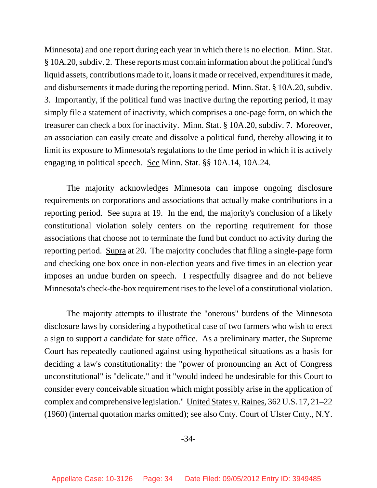Minnesota) and one report during each year in which there is no election. Minn. Stat. § 10A.20, subdiv. 2. These reports must contain information about the political fund's liquid assets, contributions made to it, loans it made or received, expenditures it made, and disbursements it made during the reporting period. Minn. Stat. § 10A.20, subdiv. 3. Importantly, if the political fund was inactive during the reporting period, it may simply file a statement of inactivity, which comprises a one-page form, on which the treasurer can check a box for inactivity. Minn. Stat. § 10A.20, subdiv. 7. Moreover, an association can easily create and dissolve a political fund, thereby allowing it to limit its exposure to Minnesota's regulations to the time period in which it is actively engaging in political speech. See Minn. Stat. §§ 10A.14, 10A.24.

The majority acknowledges Minnesota can impose ongoing disclosure requirements on corporations and associations that actually make contributions in a reporting period. <u>See supra</u> at 19. In the end, the majority's conclusion of a likely constitutional violation solely centers on the reporting requirement for those associations that choose not to terminate the fund but conduct no activity during the reporting period. Supra at 20. The majority concludes that filing a single-page form and checking one box once in non-election years and five times in an election year imposes an undue burden on speech. I respectfully disagree and do not believe Minnesota's check-the-box requirement rises to the level of a constitutional violation.

The majority attempts to illustrate the "onerous" burdens of the Minnesota disclosure laws by considering a hypothetical case of two farmers who wish to erect a sign to support a candidate for state office. As a preliminary matter, the Supreme Court has repeatedly cautioned against using hypothetical situations as a basis for deciding a law's constitutionality: the "power of pronouncing an Act of Congress unconstitutional" is "delicate," and it "would indeed be undesirable for this Court to consider every conceivable situation which might possibly arise in the application of complex and comprehensive legislation." United States v. Raines, 362 U.S. 17, 21–22 (1960) (internal quotation marks omitted); see also Cnty. Court of Ulster Cnty., N.Y.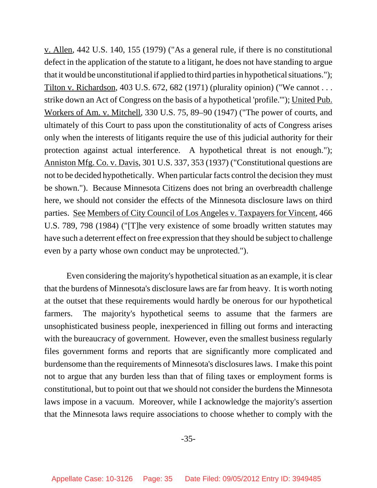v. Allen, 442 U.S. 140, 155 (1979) ("As a general rule, if there is no constitutional defect in the application of the statute to a litigant, he does not have standing to argue that it would be unconstitutional if applied to third parties in hypothetical situations."); Tilton v. Richardson, 403 U.S. 672, 682 (1971) (plurality opinion) ("We cannot  $\dots$ strike down an Act of Congress on the basis of a hypothetical 'profile.'"); United Pub. Workers of Am. v. Mitchell, 330 U.S. 75, 89–90 (1947) ("The power of courts, and ultimately of this Court to pass upon the constitutionality of acts of Congress arises only when the interests of litigants require the use of this judicial authority for their protection against actual interference. A hypothetical threat is not enough."); Anniston Mfg. Co. v. Davis, 301 U.S. 337, 353 (1937) ("Constitutional questions are not to be decided hypothetically. When particular facts control the decision they must be shown."). Because Minnesota Citizens does not bring an overbreadth challenge here, we should not consider the effects of the Minnesota disclosure laws on third parties. See Members of City Council of Los Angeles v. Taxpayers for Vincent, 466 U.S. 789, 798 (1984) ("[T]he very existence of some broadly written statutes may have such a deterrent effect on free expression that they should be subject to challenge even by a party whose own conduct may be unprotected.").

Even considering the majority's hypothetical situation as an example, it is clear that the burdens of Minnesota's disclosure laws are far from heavy. It is worth noting at the outset that these requirements would hardly be onerous for our hypothetical farmers. The majority's hypothetical seems to assume that the farmers are unsophisticated business people, inexperienced in filling out forms and interacting with the bureaucracy of government. However, even the smallest business regularly files government forms and reports that are significantly more complicated and burdensome than the requirements of Minnesota's disclosures laws. I make this point not to argue that any burden less than that of filing taxes or employment forms is constitutional, but to point out that we should not consider the burdens the Minnesota laws impose in a vacuum. Moreover, while I acknowledge the majority's assertion that the Minnesota laws require associations to choose whether to comply with the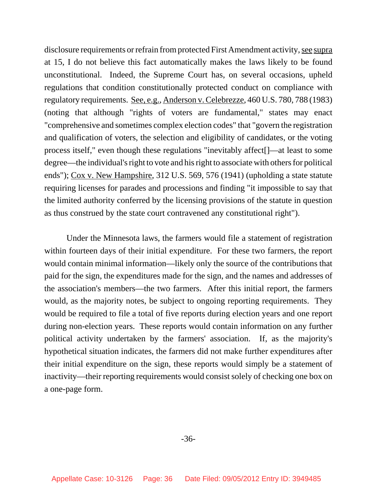disclosure requirements or refrain from protected First Amendment activity, see supra at 15, I do not believe this fact automatically makes the laws likely to be found unconstitutional. Indeed, the Supreme Court has, on several occasions, upheld regulations that condition constitutionally protected conduct on compliance with regulatory requirements. See, e.g., Anderson v. Celebrezze, 460 U.S. 780, 788 (1983) (noting that although "rights of voters are fundamental," states may enact "comprehensive and sometimes complex election codes" that "govern the registration and qualification of voters, the selection and eligibility of candidates, or the voting process itself," even though these regulations "inevitably affect[]—at least to some degree—the individual's right to vote and his right to associate with others for political ends"); Cox v. New Hampshire, 312 U.S. 569, 576 (1941) (upholding a state statute requiring licenses for parades and processions and finding "it impossible to say that the limited authority conferred by the licensing provisions of the statute in question as thus construed by the state court contravened any constitutional right").

Under the Minnesota laws, the farmers would file a statement of registration within fourteen days of their initial expenditure. For these two farmers, the report would contain minimal information—likely only the source of the contributions that paid for the sign, the expenditures made for the sign, and the names and addresses of the association's members—the two farmers. After this initial report, the farmers would, as the majority notes, be subject to ongoing reporting requirements. They would be required to file a total of five reports during election years and one report during non-election years. These reports would contain information on any further political activity undertaken by the farmers' association. If, as the majority's hypothetical situation indicates, the farmers did not make further expenditures after their initial expenditure on the sign, these reports would simply be a statement of inactivity—their reporting requirements would consist solely of checking one box on a one-page form.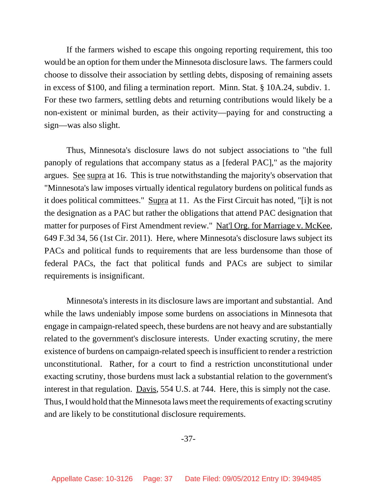If the farmers wished to escape this ongoing reporting requirement, this too would be an option for them under the Minnesota disclosure laws. The farmers could choose to dissolve their association by settling debts, disposing of remaining assets in excess of \$100, and filing a termination report. Minn. Stat. § 10A.24, subdiv. 1. For these two farmers, settling debts and returning contributions would likely be a non-existent or minimal burden, as their activity—paying for and constructing a sign—was also slight.

Thus, Minnesota's disclosure laws do not subject associations to "the full panoply of regulations that accompany status as a [federal PAC]," as the majority argues. See supra at 16. This is true notwithstanding the majority's observation that "Minnesota's law imposes virtually identical regulatory burdens on political funds as it does political committees." Supra at 11. As the First Circuit has noted, "[i]t is not the designation as a PAC but rather the obligations that attend PAC designation that matter for purposes of First Amendment review." Nat'l Org. for Marriage v. McKee, 649 F.3d 34, 56 (1st Cir. 2011). Here, where Minnesota's disclosure laws subject its PACs and political funds to requirements that are less burdensome than those of federal PACs, the fact that political funds and PACs are subject to similar requirements is insignificant.

Minnesota's interests in its disclosure laws are important and substantial. And while the laws undeniably impose some burdens on associations in Minnesota that engage in campaign-related speech, these burdens are not heavy and are substantially related to the government's disclosure interests. Under exacting scrutiny, the mere existence of burdens on campaign-related speech is insufficient to render a restriction unconstitutional. Rather, for a court to find a restriction unconstitutional under exacting scrutiny, those burdens must lack a substantial relation to the government's interest in that regulation. Davis, 554 U.S. at 744. Here, this is simply not the case. Thus, I would hold that the Minnesota laws meet the requirements of exacting scrutiny and are likely to be constitutional disclosure requirements.

-37-